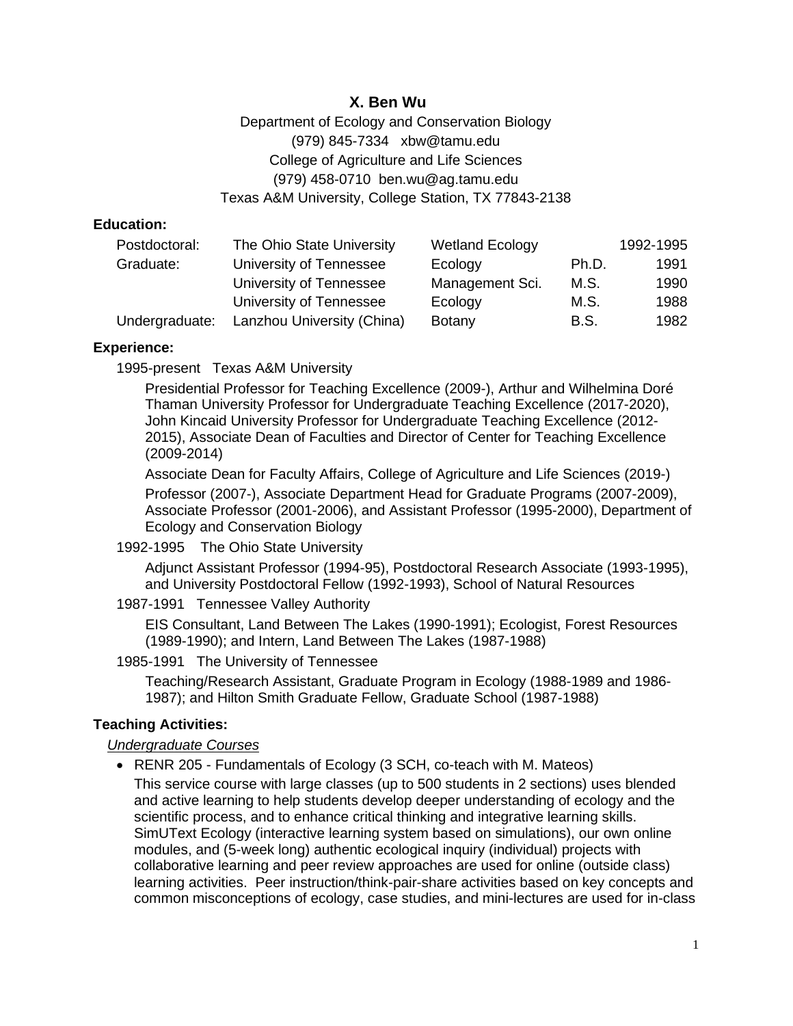# **X. Ben Wu**

Department of Ecology and Conservation Biology (979) 845-7334 xbw@tamu.edu College of Agriculture and Life Sciences (979) 458-0710 ben.wu@ag.tamu.edu Texas A&M University, College Station, TX 77843-2138

#### **Education:**

| Postdoctoral:  | The Ohio State University  | <b>Wetland Ecology</b> |       | 1992-1995 |
|----------------|----------------------------|------------------------|-------|-----------|
| Graduate:      | University of Tennessee    | Ecology                | Ph.D. | 1991      |
|                | University of Tennessee    | Management Sci.        | M.S.  | 1990      |
|                | University of Tennessee    | Ecology                | M.S.  | 1988      |
| Undergraduate: | Lanzhou University (China) | Botany                 | B.S.  | 1982      |

#### **Experience:**

1995-present Texas A&M University

Presidential Professor for Teaching Excellence (2009-), Arthur and Wilhelmina Doré Thaman University Professor for Undergraduate Teaching Excellence (2017-2020), John Kincaid University Professor for Undergraduate Teaching Excellence (2012- 2015), Associate Dean of Faculties and Director of Center for Teaching Excellence (2009-2014)

Associate Dean for Faculty Affairs, College of Agriculture and Life Sciences (2019-)

Professor (2007-), Associate Department Head for Graduate Programs (2007-2009), Associate Professor (2001-2006), and Assistant Professor (1995-2000), Department of Ecology and Conservation Biology

1992-1995 The Ohio State University

Adjunct Assistant Professor (1994-95), Postdoctoral Research Associate (1993-1995), and University Postdoctoral Fellow (1992-1993), School of Natural Resources

1987-1991 Tennessee Valley Authority

EIS Consultant, Land Between The Lakes (1990-1991); Ecologist, Forest Resources (1989-1990); and Intern, Land Between The Lakes (1987-1988)

1985-1991 The University of Tennessee

Teaching/Research Assistant, Graduate Program in Ecology (1988-1989 and 1986- 1987); and Hilton Smith Graduate Fellow, Graduate School (1987-1988)

### **Teaching Activities:**

### *Undergraduate Courses*

• RENR 205 - Fundamentals of Ecology (3 SCH, co-teach with M. Mateos)

This service course with large classes (up to 500 students in 2 sections) uses blended and active learning to help students develop deeper understanding of ecology and the scientific process, and to enhance critical thinking and integrative learning skills. SimUText Ecology (interactive learning system based on simulations), our own online modules, and (5-week long) authentic ecological inquiry (individual) projects with collaborative learning and peer review approaches are used for online (outside class) learning activities. Peer instruction/think-pair-share activities based on key concepts and common misconceptions of ecology, case studies, and mini-lectures are used for in-class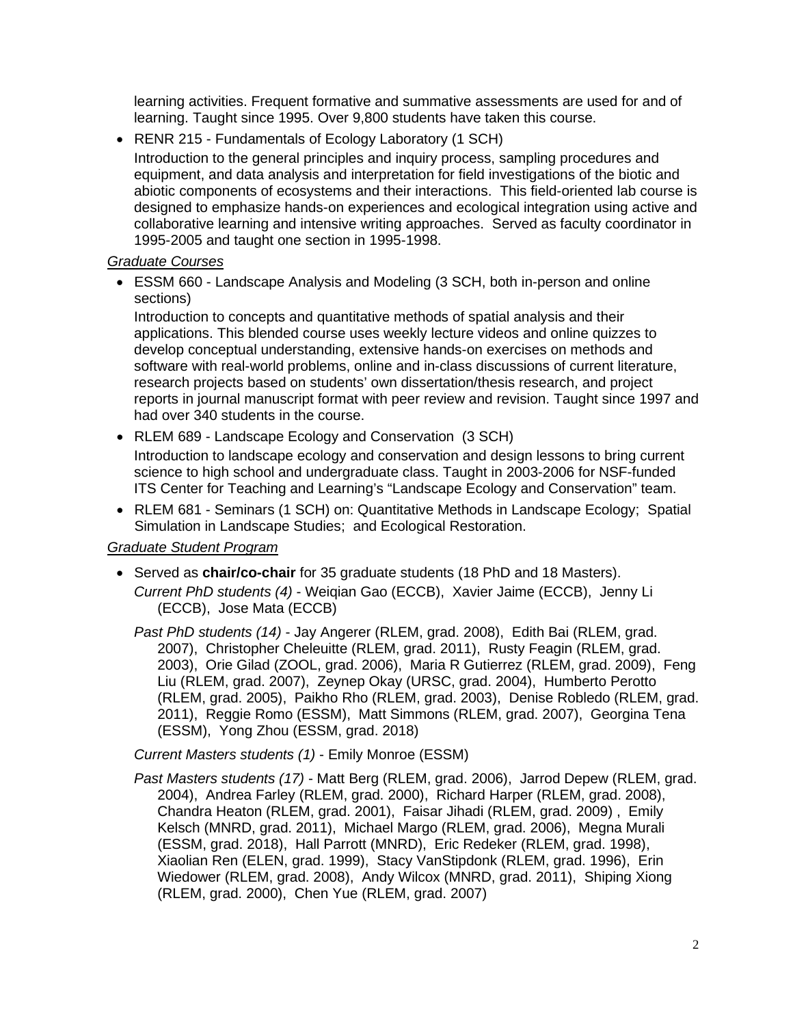learning activities. Frequent formative and summative assessments are used for and of learning. Taught since 1995. Over 9,800 students have taken this course.

• RENR 215 - Fundamentals of Ecology Laboratory (1 SCH)

Introduction to the general principles and inquiry process, sampling procedures and equipment, and data analysis and interpretation for field investigations of the biotic and abiotic components of ecosystems and their interactions. This field-oriented lab course is designed to emphasize hands-on experiences and ecological integration using active and collaborative learning and intensive writing approaches. Served as faculty coordinator in 1995-2005 and taught one section in 1995-1998.

# *Graduate Courses*

• ESSM 660 - Landscape Analysis and Modeling (3 SCH, both in-person and online sections)

Introduction to concepts and quantitative methods of spatial analysis and their applications. This blended course uses weekly lecture videos and online quizzes to develop conceptual understanding, extensive hands-on exercises on methods and software with real-world problems, online and in-class discussions of current literature, research projects based on students' own dissertation/thesis research, and project reports in journal manuscript format with peer review and revision. Taught since 1997 and had over 340 students in the course.

- RLEM 689 Landscape Ecology and Conservation (3 SCH) Introduction to landscape ecology and conservation and design lessons to bring current science to high school and undergraduate class. Taught in 2003-2006 for NSF-funded ITS Center for Teaching and Learning's "Landscape Ecology and Conservation" team.
- RLEM 681 Seminars (1 SCH) on: Quantitative Methods in Landscape Ecology; Spatial Simulation in Landscape Studies; and Ecological Restoration.

### *Graduate Student Program*

• Served as **chair/co-chair** for 35 graduate students (18 PhD and 18 Masters). *Current PhD students (4)* - Weiqian Gao (ECCB), Xavier Jaime (ECCB), Jenny Li (ECCB), Jose Mata (ECCB)

*Past PhD students (14)* - Jay Angerer (RLEM, grad. 2008), Edith Bai (RLEM, grad. 2007), Christopher Cheleuitte (RLEM, grad. 2011), Rusty Feagin (RLEM, grad. 2003), Orie Gilad (ZOOL, grad. 2006), Maria R Gutierrez (RLEM, grad. 2009), Feng Liu (RLEM, grad. 2007), Zeynep Okay (URSC, grad. 2004), Humberto Perotto (RLEM, grad. 2005), Paikho Rho (RLEM, grad. 2003), Denise Robledo (RLEM, grad. 2011), Reggie Romo (ESSM), Matt Simmons (RLEM, grad. 2007), Georgina Tena (ESSM), Yong Zhou (ESSM, grad. 2018)

*Current Masters students (1)* - Emily Monroe (ESSM)

*Past Masters students (17)* - Matt Berg (RLEM, grad. 2006), Jarrod Depew (RLEM, grad. 2004), Andrea Farley (RLEM, grad. 2000), Richard Harper (RLEM, grad. 2008), Chandra Heaton (RLEM, grad. 2001), Faisar Jihadi (RLEM, grad. 2009) , Emily Kelsch (MNRD, grad. 2011), Michael Margo (RLEM, grad. 2006), Megna Murali (ESSM, grad. 2018), Hall Parrott (MNRD), Eric Redeker (RLEM, grad. 1998), Xiaolian Ren (ELEN, grad. 1999), Stacy VanStipdonk (RLEM, grad. 1996), Erin Wiedower (RLEM, grad. 2008), Andy Wilcox (MNRD, grad. 2011), Shiping Xiong (RLEM, grad. 2000), Chen Yue (RLEM, grad. 2007)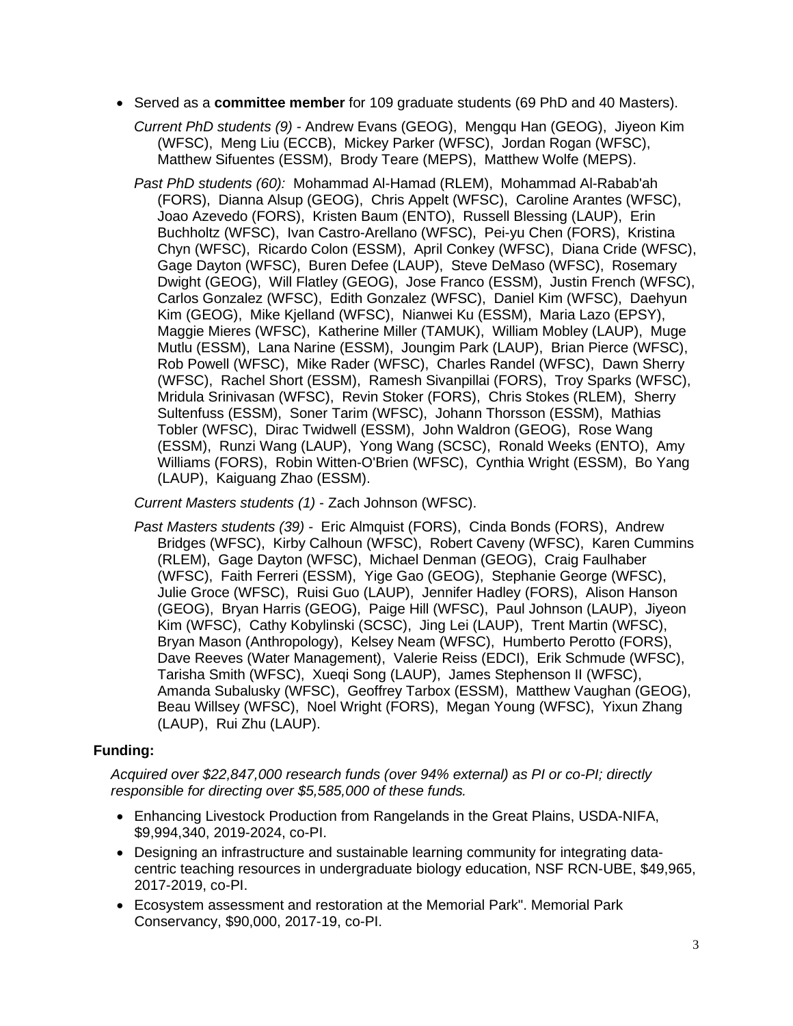• Served as a **committee member** for 109 graduate students (69 PhD and 40 Masters).

*Current PhD students (9) -* Andrew Evans (GEOG), Mengqu Han (GEOG), Jiyeon Kim (WFSC), Meng Liu (ECCB), Mickey Parker (WFSC), Jordan Rogan (WFSC), Matthew Sifuentes (ESSM), Brody Teare (MEPS), Matthew Wolfe (MEPS).

*Past PhD students (60):* Mohammad Al-Hamad (RLEM), Mohammad Al-Rabab'ah (FORS), Dianna Alsup (GEOG), Chris Appelt (WFSC), Caroline Arantes (WFSC), Joao Azevedo (FORS), Kristen Baum (ENTO), Russell Blessing (LAUP), Erin Buchholtz (WFSC), Ivan Castro-Arellano (WFSC), Pei-yu Chen (FORS), Kristina Chyn (WFSC), Ricardo Colon (ESSM), April Conkey (WFSC), Diana Cride (WFSC), Gage Dayton (WFSC), Buren Defee (LAUP), Steve DeMaso (WFSC), Rosemary Dwight (GEOG), Will Flatley (GEOG), Jose Franco (ESSM), Justin French (WFSC), Carlos Gonzalez (WFSC), Edith Gonzalez (WFSC), Daniel Kim (WFSC), Daehyun Kim (GEOG), Mike Kjelland (WFSC), Nianwei Ku (ESSM), Maria Lazo (EPSY), Maggie Mieres (WFSC), Katherine Miller (TAMUK), William Mobley (LAUP), Muge Mutlu (ESSM), Lana Narine (ESSM), Joungim Park (LAUP), Brian Pierce (WFSC), Rob Powell (WFSC), Mike Rader (WFSC), Charles Randel (WFSC), Dawn Sherry (WFSC), Rachel Short (ESSM), Ramesh Sivanpillai (FORS), Troy Sparks (WFSC), Mridula Srinivasan (WFSC), Revin Stoker (FORS), Chris Stokes (RLEM), Sherry Sultenfuss (ESSM), Soner Tarim (WFSC), Johann Thorsson (ESSM), Mathias Tobler (WFSC), Dirac Twidwell (ESSM), John Waldron (GEOG), Rose Wang (ESSM), Runzi Wang (LAUP), Yong Wang (SCSC), Ronald Weeks (ENTO), Amy Williams (FORS), Robin Witten-O'Brien (WFSC), Cynthia Wright (ESSM), Bo Yang (LAUP), Kaiguang Zhao (ESSM).

*Current Masters students (1)* - Zach Johnson (WFSC).

*Past Masters students (39)* - Eric Almquist (FORS), Cinda Bonds (FORS), Andrew Bridges (WFSC), Kirby Calhoun (WFSC), Robert Caveny (WFSC), Karen Cummins (RLEM), Gage Dayton (WFSC), Michael Denman (GEOG), Craig Faulhaber (WFSC), Faith Ferreri (ESSM), Yige Gao (GEOG), Stephanie George (WFSC), Julie Groce (WFSC), Ruisi Guo (LAUP), Jennifer Hadley (FORS), Alison Hanson (GEOG), Bryan Harris (GEOG), Paige Hill (WFSC), Paul Johnson (LAUP), Jiyeon Kim (WFSC), Cathy Kobylinski (SCSC), Jing Lei (LAUP), Trent Martin (WFSC), Bryan Mason (Anthropology), Kelsey Neam (WFSC), Humberto Perotto (FORS), Dave Reeves (Water Management), Valerie Reiss (EDCI), Erik Schmude (WFSC), Tarisha Smith (WFSC), Xueqi Song (LAUP), James Stephenson II (WFSC), Amanda Subalusky (WFSC), Geoffrey Tarbox (ESSM), Matthew Vaughan (GEOG), Beau Willsey (WFSC), Noel Wright (FORS), Megan Young (WFSC), Yixun Zhang (LAUP), Rui Zhu (LAUP).

### **Funding:**

*Acquired over \$22,847,000 research funds (over 94% external) as PI or co-PI; directly responsible for directing over \$5,585,000 of these funds.*

- Enhancing Livestock Production from Rangelands in the Great Plains, USDA-NIFA, \$9,994,340, 2019-2024, co-PI.
- Designing an infrastructure and sustainable learning community for integrating datacentric teaching resources in undergraduate biology education, NSF RCN-UBE, \$49,965, 2017-2019, co-PI.
- Ecosystem assessment and restoration at the Memorial Park". Memorial Park Conservancy, \$90,000, 2017-19, co-PI.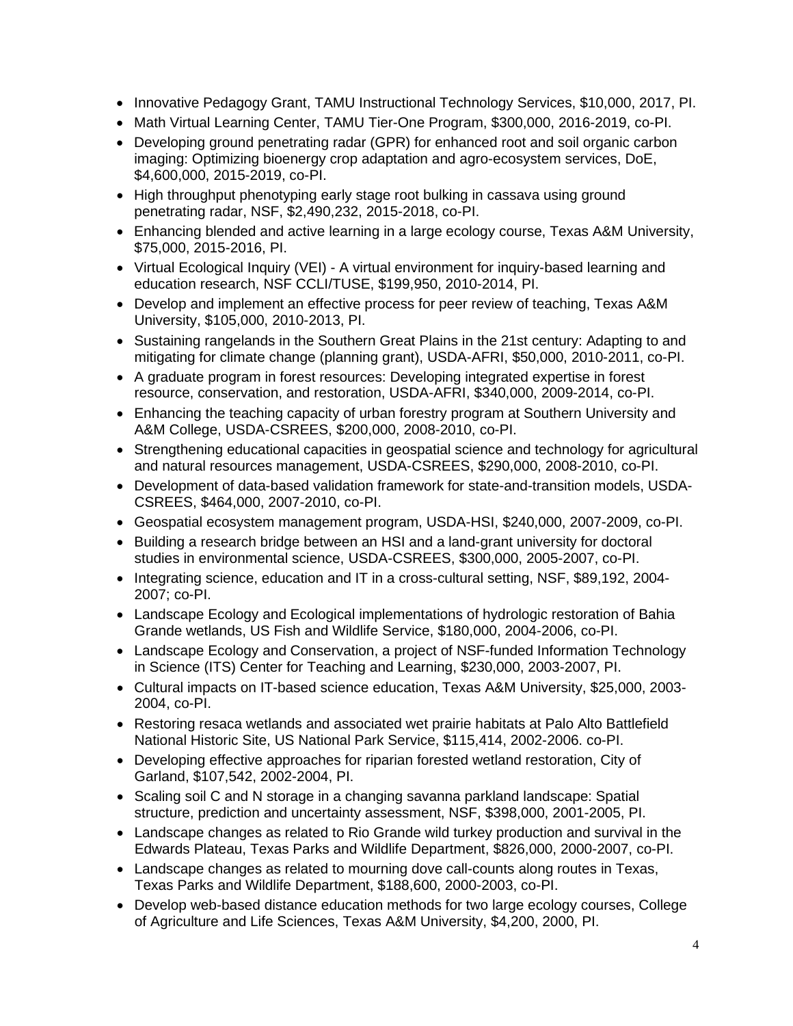- Innovative Pedagogy Grant, TAMU Instructional Technology Services, \$10,000, 2017, PI.
- Math Virtual Learning Center, TAMU Tier-One Program, \$300,000, 2016-2019, co-PI.
- Developing ground penetrating radar (GPR) for enhanced root and soil organic carbon imaging: Optimizing bioenergy crop adaptation and agro-ecosystem services, DoE, \$4,600,000, 2015-2019, co-PI.
- High throughput phenotyping early stage root bulking in cassava using ground penetrating radar, NSF, \$2,490,232, 2015-2018, co-PI.
- Enhancing blended and active learning in a large ecology course, Texas A&M University, \$75,000, 2015-2016, PI.
- Virtual Ecological Inquiry (VEI) A virtual environment for inquiry-based learning and education research, NSF CCLI/TUSE, \$199,950, 2010-2014, PI.
- Develop and implement an effective process for peer review of teaching, Texas A&M University, \$105,000, 2010-2013, PI.
- Sustaining rangelands in the Southern Great Plains in the 21st century: Adapting to and mitigating for climate change (planning grant), USDA-AFRI, \$50,000, 2010-2011, co-PI.
- A graduate program in forest resources: Developing integrated expertise in forest resource, conservation, and restoration, USDA-AFRI, \$340,000, 2009-2014, co-PI.
- Enhancing the teaching capacity of urban forestry program at Southern University and A&M College, USDA-CSREES, \$200,000, 2008-2010, co-PI.
- Strengthening educational capacities in geospatial science and technology for agricultural and natural resources management, USDA-CSREES, \$290,000, 2008-2010, co-PI.
- Development of data-based validation framework for state-and-transition models, USDA-CSREES, \$464,000, 2007-2010, co-PI.
- Geospatial ecosystem management program, USDA-HSI, \$240,000, 2007-2009, co-PI.
- Building a research bridge between an HSI and a land-grant university for doctoral studies in environmental science, USDA-CSREES, \$300,000, 2005-2007, co-PI.
- Integrating science, education and IT in a cross-cultural setting, NSF, \$89,192, 2004-2007; co-PI.
- Landscape Ecology and Ecological implementations of hydrologic restoration of Bahia Grande wetlands, US Fish and Wildlife Service, \$180,000, 2004-2006, co-PI.
- Landscape Ecology and Conservation, a project of NSF-funded Information Technology in Science (ITS) Center for Teaching and Learning, \$230,000, 2003-2007, PI.
- Cultural impacts on IT-based science education, Texas A&M University, \$25,000, 2003- 2004, co-PI.
- Restoring resaca wetlands and associated wet prairie habitats at Palo Alto Battlefield National Historic Site, US National Park Service, \$115,414, 2002-2006. co-PI.
- Developing effective approaches for riparian forested wetland restoration, City of Garland, \$107,542, 2002-2004, PI.
- Scaling soil C and N storage in a changing savanna parkland landscape: Spatial structure, prediction and uncertainty assessment, NSF, \$398,000, 2001-2005, PI.
- Landscape changes as related to Rio Grande wild turkey production and survival in the Edwards Plateau, Texas Parks and Wildlife Department, \$826,000, 2000-2007, co-PI.
- Landscape changes as related to mourning dove call-counts along routes in Texas, Texas Parks and Wildlife Department, \$188,600, 2000-2003, co-PI.
- Develop web-based distance education methods for two large ecology courses, College of Agriculture and Life Sciences, Texas A&M University, \$4,200, 2000, PI.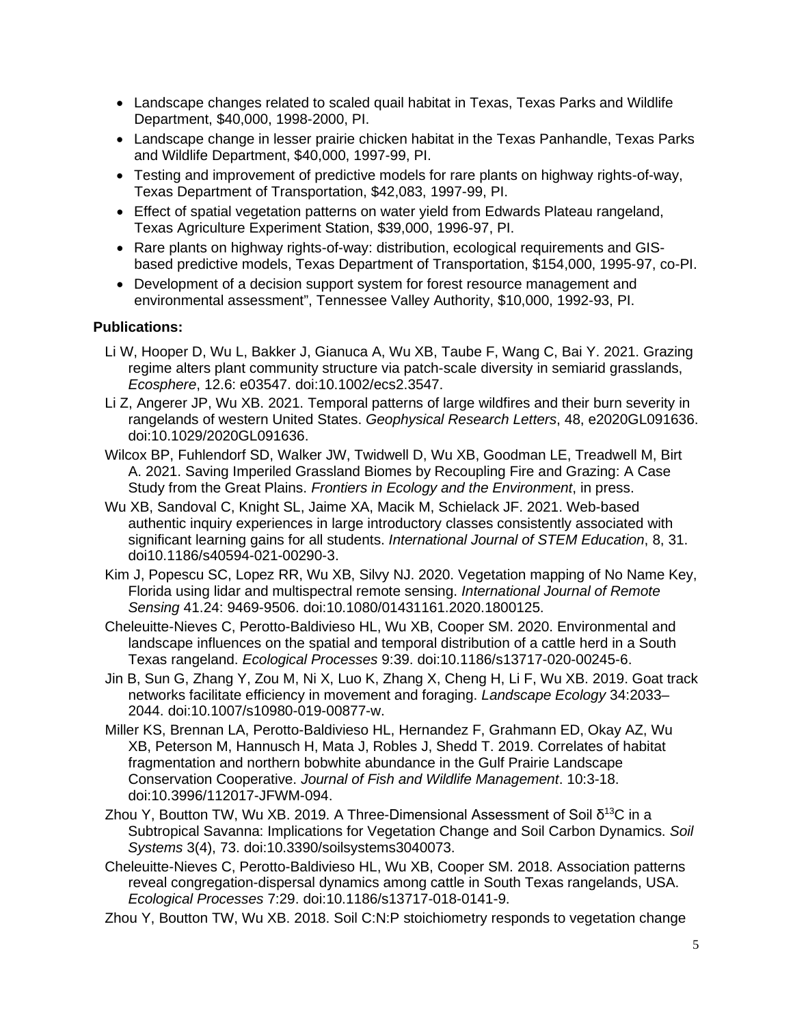- Landscape changes related to scaled quail habitat in Texas, Texas Parks and Wildlife Department, \$40,000, 1998-2000, PI.
- Landscape change in lesser prairie chicken habitat in the Texas Panhandle, Texas Parks and Wildlife Department, \$40,000, 1997-99, PI.
- Testing and improvement of predictive models for rare plants on highway rights-of-way, Texas Department of Transportation, \$42,083, 1997-99, PI.
- Effect of spatial vegetation patterns on water yield from Edwards Plateau rangeland, Texas Agriculture Experiment Station, \$39,000, 1996-97, PI.
- Rare plants on highway rights-of-way: distribution, ecological requirements and GISbased predictive models, Texas Department of Transportation, \$154,000, 1995-97, co-PI.
- Development of a decision support system for forest resource management and environmental assessment", Tennessee Valley Authority, \$10,000, 1992-93, PI.

### **Publications:**

- Li W, Hooper D, Wu L, Bakker J, Gianuca A, Wu XB, Taube F, Wang C, Bai Y. 2021. Grazing regime alters plant community structure via patch-scale diversity in semiarid grasslands, *Ecosphere*, 12.6: e03547. doi:10.1002/ecs2.3547.
- Li Z, Angerer JP, Wu XB. 2021. Temporal patterns of large wildfires and their burn severity in rangelands of western United States. *Geophysical Research Letters*, 48, e2020GL091636. doi:10.1029/2020GL091636.
- Wilcox BP, Fuhlendorf SD, Walker JW, Twidwell D, Wu XB, Goodman LE, Treadwell M, Birt A. 2021. Saving Imperiled Grassland Biomes by Recoupling Fire and Grazing: A Case Study from the Great Plains. *Frontiers in Ecology and the Environment*, in press.
- Wu XB, Sandoval C, Knight SL, Jaime XA, Macik M, Schielack JF. 2021. Web-based authentic inquiry experiences in large introductory classes consistently associated with significant learning gains for all students. *International Journal of STEM Education*, 8, 31. doi10.1186/s40594-021-00290-3.
- Kim J, Popescu SC, Lopez RR, Wu XB, Silvy NJ. 2020. Vegetation mapping of No Name Key, Florida using lidar and multispectral remote sensing. *International Journal of Remote Sensing* 41.24: 9469-9506. doi:10.1080/01431161.2020.1800125.
- Cheleuitte-Nieves C, Perotto-Baldivieso HL, Wu XB, Cooper SM. 2020. Environmental and landscape influences on the spatial and temporal distribution of a cattle herd in a South Texas rangeland. *Ecological Processes* 9:39. doi:10.1186/s13717-020-00245-6.
- Jin B, Sun G, Zhang Y, Zou M, Ni X, Luo K, Zhang X, Cheng H, Li F, Wu XB. 2019. Goat track networks facilitate efficiency in movement and foraging. *Landscape Ecology* 34:2033– 2044. doi:10.1007/s10980-019-00877-w.
- Miller KS, Brennan LA, Perotto-Baldivieso HL, Hernandez F, Grahmann ED, Okay AZ, Wu XB, Peterson M, Hannusch H, Mata J, Robles J, Shedd T. 2019. Correlates of habitat fragmentation and northern bobwhite abundance in the Gulf Prairie Landscape Conservation Cooperative. *Journal of Fish and Wildlife Management*. 10:3-18. doi:10.3996/112017-JFWM-094.
- Zhou Y, Boutton TW, Wu XB. 2019. A Three-Dimensional Assessment of Soil  $δ<sup>13</sup>C$  in a Subtropical Savanna: Implications for Vegetation Change and Soil Carbon Dynamics. *Soil Systems* 3(4), 73. doi:10.3390/soilsystems3040073.
- Cheleuitte-Nieves C, Perotto-Baldivieso HL, Wu XB, Cooper SM. 2018. Association patterns reveal congregation-dispersal dynamics among cattle in South Texas rangelands, USA. *Ecological Processes* 7:29. doi:10.1186/s13717-018-0141-9.
- Zhou Y, Boutton TW, Wu XB. 2018. Soil C:N:P stoichiometry responds to vegetation change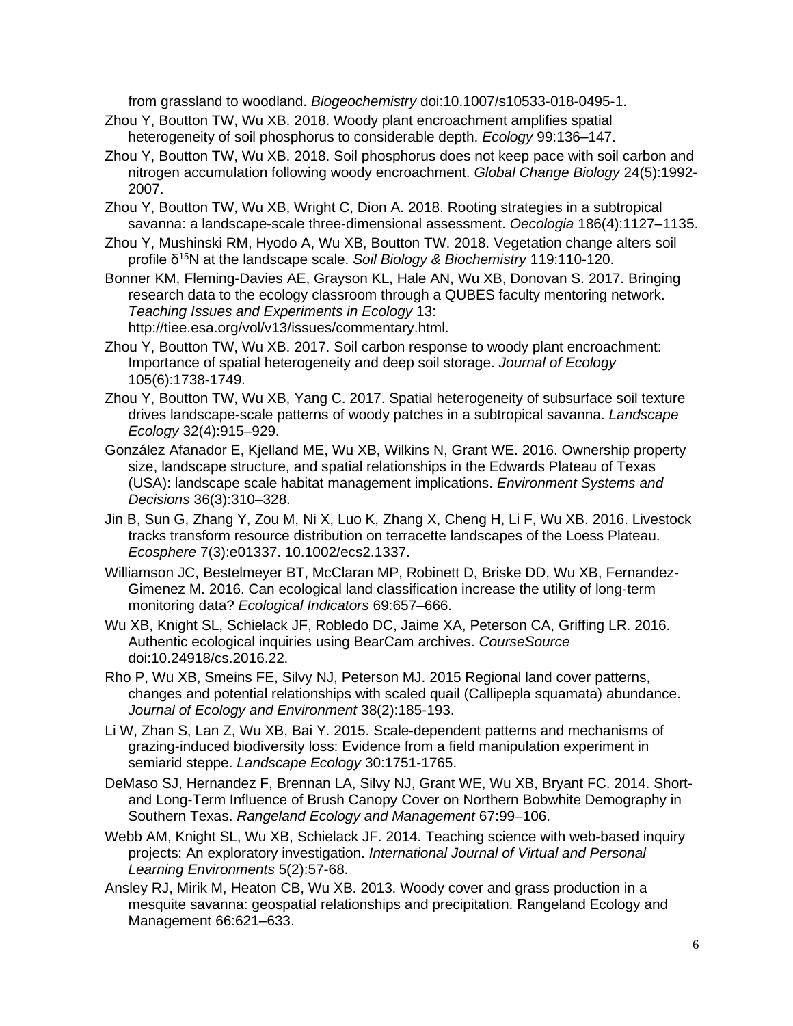from grassland to woodland. *Biogeochemistry* doi:10.1007/s10533-018-0495-1.

- Zhou Y, Boutton TW, Wu XB. 2018. Woody plant encroachment amplifies spatial heterogeneity of soil phosphorus to considerable depth. *Ecology* 99:136–147.
- Zhou Y, Boutton TW, Wu XB. 2018. Soil phosphorus does not keep pace with soil carbon and nitrogen accumulation following woody encroachment. *Global Change Biology* 24(5):1992- 2007.
- Zhou Y, Boutton TW, Wu XB, Wright C, Dion A. 2018. Rooting strategies in a subtropical savanna: a landscape-scale three-dimensional assessment. *Oecologia* 186(4):1127–1135.
- Zhou Y, Mushinski RM, Hyodo A, Wu XB, Boutton TW. 2018. Vegetation change alters soil profile δ15N at the landscape scale. *Soil Biology & Biochemistry* 119:110-120.
- Bonner KM, Fleming-Davies AE, Grayson KL, Hale AN, Wu XB, Donovan S. 2017. Bringing research data to the ecology classroom through a QUBES faculty mentoring network. *Teaching Issues and Experiments in Ecology* 13: http://tiee.esa.org/vol/v13/issues/commentary.html.
- Zhou Y, Boutton TW, Wu XB. 2017. Soil carbon response to woody plant encroachment: Importance of spatial heterogeneity and deep soil storage. *Journal of Ecology* 105(6):1738-1749.
- Zhou Y, Boutton TW, Wu XB, Yang C. 2017. Spatial heterogeneity of subsurface soil texture drives landscape-scale patterns of woody patches in a subtropical savanna. *Landscape Ecology* 32(4):915–929.
- González Afanador E, Kjelland ME, Wu XB, Wilkins N, Grant WE. 2016. Ownership property size, landscape structure, and spatial relationships in the Edwards Plateau of Texas (USA): landscape scale habitat management implications. *Environment Systems and Decisions* 36(3):310–328.
- Jin B, Sun G, Zhang Y, Zou M, Ni X, Luo K, Zhang X, Cheng H, Li F, Wu XB. 2016. Livestock tracks transform resource distribution on terracette landscapes of the Loess Plateau. *Ecosphere* 7(3):e01337. 10.1002/ecs2.1337.
- Williamson JC, Bestelmeyer BT, McClaran MP, Robinett D, Briske DD, Wu XB, Fernandez-Gimenez M. 2016. Can ecological land classification increase the utility of long-term monitoring data? *Ecological Indicators* 69:657–666.
- Wu XB, Knight SL, Schielack JF, Robledo DC, Jaime XA, Peterson CA, Griffing LR. 2016. Authentic ecological inquiries using BearCam archives. *CourseSource* doi:10.24918/cs.2016.22.
- Rho P, Wu XB, Smeins FE, Silvy NJ, Peterson MJ. 2015 Regional land cover patterns, changes and potential relationships with scaled quail (Callipepla squamata) abundance. *Journal of Ecology and Environment* 38(2):185-193.
- Li W, Zhan S, Lan Z, Wu XB, Bai Y. 2015. Scale-dependent patterns and mechanisms of grazing-induced biodiversity loss: Evidence from a field manipulation experiment in semiarid steppe. *Landscape Ecology* 30:1751-1765.
- DeMaso SJ, Hernandez F, Brennan LA, Silvy NJ, Grant WE, Wu XB, Bryant FC. 2014. Shortand Long-Term Influence of Brush Canopy Cover on Northern Bobwhite Demography in Southern Texas. *Rangeland Ecology and Management* 67:99–106.
- Webb AM, Knight SL, Wu XB, Schielack JF. 2014. Teaching science with web-based inquiry projects: An exploratory investigation. *International Journal of Virtual and Personal Learning Environments* 5(2):57-68.
- Ansley RJ, Mirik M, Heaton CB, Wu XB. 2013. Woody cover and grass production in a mesquite savanna: geospatial relationships and precipitation. Rangeland Ecology and Management 66:621–633.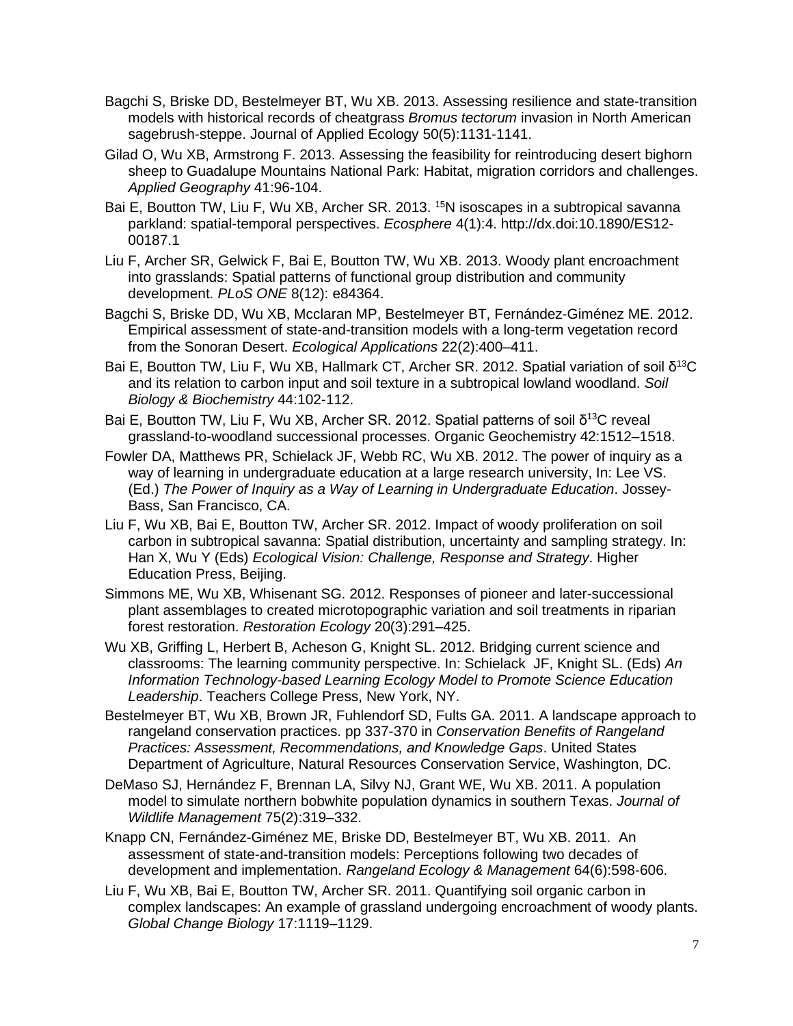- Bagchi S, Briske DD, Bestelmeyer BT, Wu XB. 2013. Assessing resilience and state-transition models with historical records of cheatgrass *Bromus tectorum* invasion in North American sagebrush-steppe. Journal of Applied Ecology 50(5):1131-1141.
- Gilad O, Wu XB, Armstrong F. 2013. Assessing the feasibility for reintroducing desert bighorn sheep to Guadalupe Mountains National Park: Habitat, migration corridors and challenges. *Applied Geography* 41:96-104.
- Bai E, Boutton TW, Liu F, Wu XB, Archer SR. 2013. <sup>15</sup>N isoscapes in a subtropical savanna parkland: spatial-temporal perspectives. *Ecosphere* 4(1):4. http://dx.doi:10.1890/ES12- 00187.1
- Liu F, Archer SR, Gelwick F, Bai E, Boutton TW, Wu XB. 2013. Woody plant encroachment into grasslands: Spatial patterns of functional group distribution and community development. *PLoS ONE* 8(12): e84364.
- Bagchi S, Briske DD, Wu XB, Mcclaran MP, Bestelmeyer BT, Fernández-Giménez ME. 2012. Empirical assessment of state-and-transition models with a long-term vegetation record from the Sonoran Desert. *Ecological Applications* 22(2):400–411.
- Bai E, Boutton TW, Liu F, Wu XB, Hallmark CT, Archer SR. 2012. Spatial variation of soil δ<sup>13</sup>C and its relation to carbon input and soil texture in a subtropical lowland woodland. *Soil Biology & Biochemistry* 44:102-112.
- Bai E, Boutton TW, Liu F, Wu XB, Archer SR, 2012. Spatial patterns of soil δ<sup>13</sup>C reveal grassland-to-woodland successional processes. Organic Geochemistry 42:1512–1518.
- Fowler DA, Matthews PR, Schielack JF, Webb RC, Wu XB. 2012. The power of inquiry as a way of learning in undergraduate education at a large research university, In: Lee VS. (Ed.) *The Power of Inquiry as a Way of Learning in Undergraduate Education*. Jossey-Bass, San Francisco, CA.
- Liu F, Wu XB, Bai E, Boutton TW, Archer SR. 2012. Impact of woody proliferation on soil carbon in subtropical savanna: Spatial distribution, uncertainty and sampling strategy. In: Han X, Wu Y (Eds) *Ecological Vision: Challenge, Response and Strategy*. Higher Education Press, Beijing.
- Simmons ME, Wu XB, Whisenant SG. 2012. Responses of pioneer and later-successional plant assemblages to created microtopographic variation and soil treatments in riparian forest restoration. *Restoration Ecology* 20(3):291–425.
- Wu XB, Griffing L, Herbert B, Acheson G, Knight SL. 2012. Bridging current science and classrooms: The learning community perspective. In: Schielack JF, Knight SL. (Eds) *An Information Technology-based Learning Ecology Model to Promote Science Education Leadership*. Teachers College Press, New York, NY.
- Bestelmeyer BT, Wu XB, Brown JR, Fuhlendorf SD, Fults GA. 2011. A landscape approach to rangeland conservation practices. pp 337-370 in *Conservation Benefits of Rangeland Practices: Assessment, Recommendations, and Knowledge Gaps*. United States Department of Agriculture, Natural Resources Conservation Service, Washington, DC.
- DeMaso SJ, Hernández F, Brennan LA, Silvy NJ, Grant WE, Wu XB. 2011. A population model to simulate northern bobwhite population dynamics in southern Texas. *Journal of Wildlife Management* 75(2):319–332.
- Knapp CN, Fernández-Giménez ME, Briske DD, Bestelmeyer BT, Wu XB. 2011. An assessment of state-and-transition models: Perceptions following two decades of development and implementation. *Rangeland Ecology & Management* 64(6):598-606.
- Liu F, Wu XB, Bai E, Boutton TW, Archer SR. 2011. Quantifying soil organic carbon in complex landscapes: An example of grassland undergoing encroachment of woody plants. *Global Change Biology* 17:1119–1129.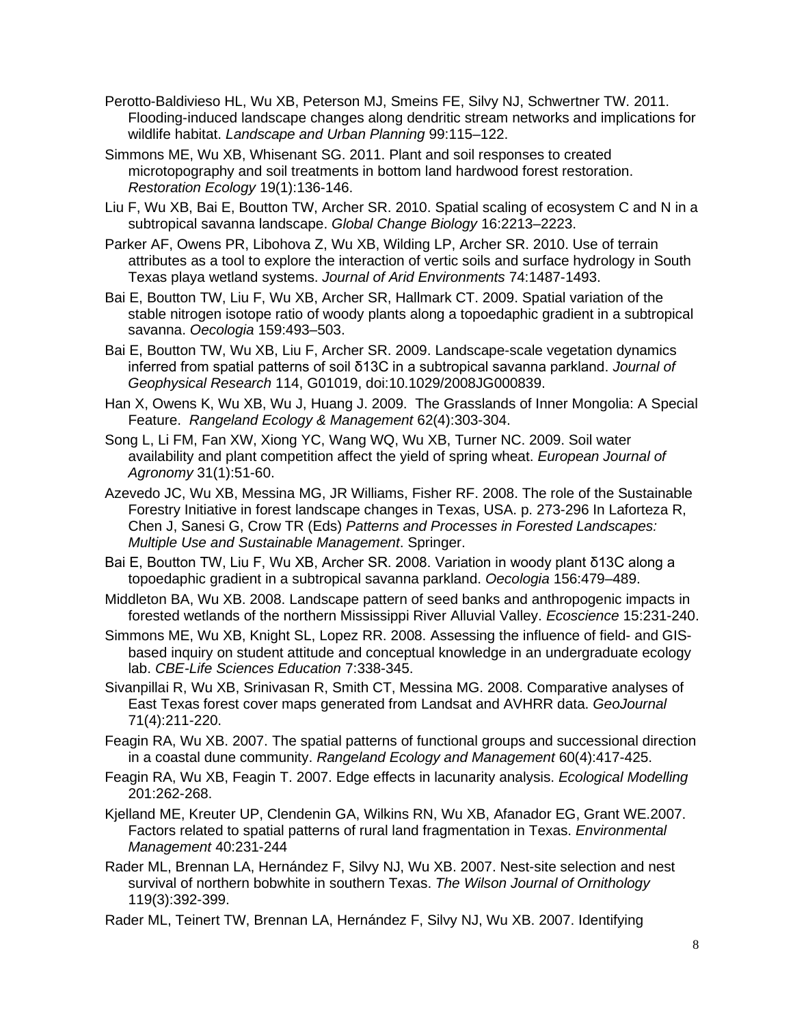- Perotto-Baldivieso HL, Wu XB, Peterson MJ, Smeins FE, Silvy NJ, Schwertner TW. 2011. Flooding-induced landscape changes along dendritic stream networks and implications for wildlife habitat. *Landscape and Urban Planning* 99:115–122.
- Simmons ME, Wu XB, Whisenant SG. 2011. Plant and soil responses to created microtopography and soil treatments in bottom land hardwood forest restoration. *Restoration Ecology* 19(1):136-146.
- Liu F, Wu XB, Bai E, Boutton TW, Archer SR. 2010. Spatial scaling of ecosystem C and N in a subtropical savanna landscape. *Global Change Biology* 16:2213–2223.
- Parker AF, Owens PR, Libohova Z, Wu XB, Wilding LP, Archer SR. 2010. Use of terrain attributes as a tool to explore the interaction of vertic soils and surface hydrology in South Texas playa wetland systems. *Journal of Arid Environments* 74:1487-1493.
- Bai E, Boutton TW, Liu F, Wu XB, Archer SR, Hallmark CT. 2009. Spatial variation of the stable nitrogen isotope ratio of woody plants along a topoedaphic gradient in a subtropical savanna. *Oecologia* 159:493–503.
- Bai E, Boutton TW, Wu XB, Liu F, Archer SR. 2009. Landscape-scale vegetation dynamics inferred from spatial patterns of soil δ13C in a subtropical savanna parkland. *Journal of Geophysical Research* 114, G01019, doi:10.1029/2008JG000839.
- Han X, Owens K, Wu XB, Wu J, Huang J. 2009. The Grasslands of Inner Mongolia: A Special Feature. *Rangeland Ecology & Management* 62(4):303-304.
- Song L, Li FM, Fan XW, Xiong YC, Wang WQ, Wu XB, Turner NC. 2009. Soil water availability and plant competition affect the yield of spring wheat. *European Journal of Agronomy* 31(1):51-60.
- Azevedo JC, Wu XB, Messina MG, JR Williams, Fisher RF. 2008. The role of the Sustainable Forestry Initiative in forest landscape changes in Texas, USA. p. 273-296 In Laforteza R, Chen J, Sanesi G, Crow TR (Eds) *Patterns and Processes in Forested Landscapes: Multiple Use and Sustainable Management*. Springer.
- Bai E, Boutton TW, Liu F, Wu XB, Archer SR. 2008. Variation in woody plant δ13C along a topoedaphic gradient in a subtropical savanna parkland. *Oecologia* 156:479–489.
- Middleton BA, Wu XB. 2008. Landscape pattern of seed banks and anthropogenic impacts in forested wetlands of the northern Mississippi River Alluvial Valley. *Ecoscience* 15:231-240.
- Simmons ME, Wu XB, Knight SL, Lopez RR. 2008. Assessing the influence of field- and GISbased inquiry on student attitude and conceptual knowledge in an undergraduate ecology lab. *CBE-Life Sciences Education* 7:338-345.
- Sivanpillai R, Wu XB, Srinivasan R, Smith CT, Messina MG. 2008. Comparative analyses of East Texas forest cover maps generated from Landsat and AVHRR data. *GeoJournal* 71(4):211-220.
- Feagin RA, Wu XB. 2007. The spatial patterns of functional groups and successional direction in a coastal dune community. *Rangeland Ecology and Management* 60(4):417-425.
- Feagin RA, Wu XB, Feagin T. 2007. Edge effects in lacunarity analysis. *Ecological Modelling* 201:262-268.
- Kjelland ME, Kreuter UP, Clendenin GA, Wilkins RN, Wu XB, Afanador EG, Grant WE.2007. Factors related to spatial patterns of rural land fragmentation in Texas. *Environmental Management* 40:231-244
- Rader ML, Brennan LA, Hernández F, Silvy NJ, Wu XB. 2007. Nest-site selection and nest survival of northern bobwhite in southern Texas. *The Wilson Journal of Ornithology* 119(3):392-399.
- Rader ML, Teinert TW, Brennan LA, Hernández F, Silvy NJ, Wu XB. 2007. Identifying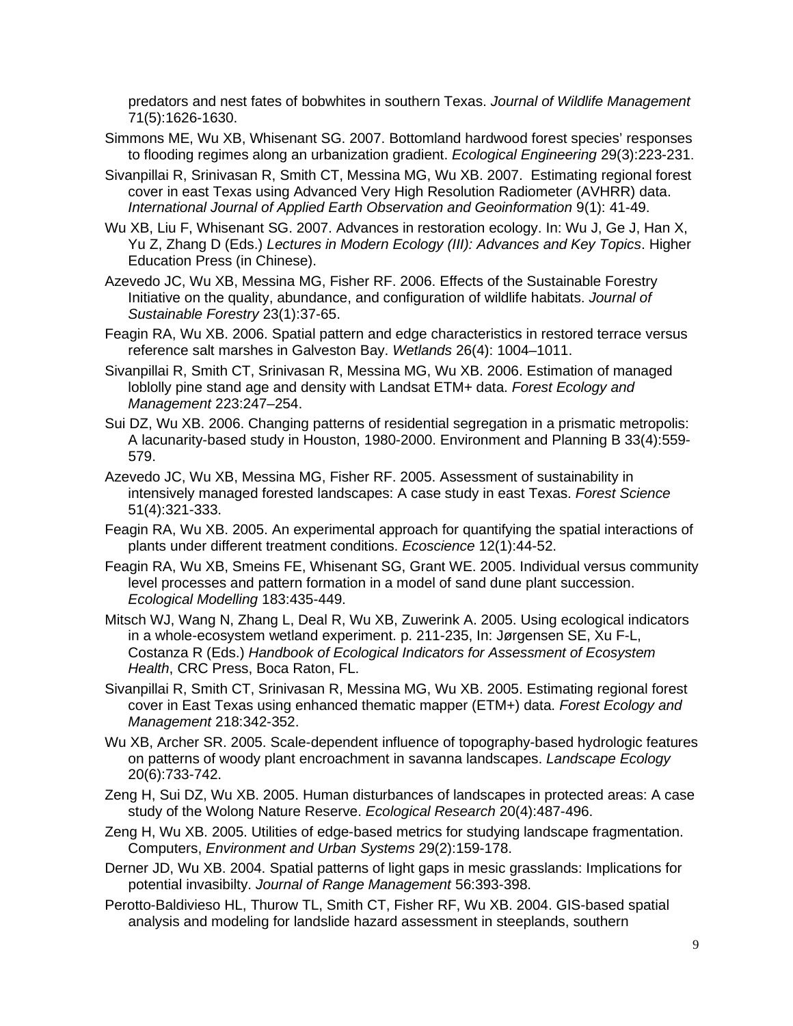predators and nest fates of bobwhites in southern Texas. *Journal of Wildlife Management*  71(5):1626-1630.

- Simmons ME, Wu XB, Whisenant SG. 2007. Bottomland hardwood forest species' responses to flooding regimes along an urbanization gradient. *Ecological Engineering* 29(3):223-231.
- Sivanpillai R, Srinivasan R, Smith CT, Messina MG, Wu XB. 2007. Estimating regional forest cover in east Texas using Advanced Very High Resolution Radiometer (AVHRR) data. *International Journal of Applied Earth Observation and Geoinformation* 9(1): 41-49.
- Wu XB, Liu F, Whisenant SG. 2007. Advances in restoration ecology. In: Wu J, Ge J, Han X, Yu Z, Zhang D (Eds.) *Lectures in Modern Ecology (III): Advances and Key Topics*. Higher Education Press (in Chinese).
- Azevedo JC, Wu XB, Messina MG, Fisher RF. 2006. Effects of the Sustainable Forestry Initiative on the quality, abundance, and configuration of wildlife habitats. *Journal of Sustainable Forestry* 23(1):37-65.
- Feagin RA, Wu XB. 2006. Spatial pattern and edge characteristics in restored terrace versus reference salt marshes in Galveston Bay. *Wetlands* 26(4): 1004–1011.
- Sivanpillai R, Smith CT, Srinivasan R, Messina MG, Wu XB. 2006. Estimation of managed loblolly pine stand age and density with Landsat ETM+ data. *Forest Ecology and Management* 223:247–254.
- Sui DZ, Wu XB. 2006. Changing patterns of residential segregation in a prismatic metropolis: A lacunarity-based study in Houston, 1980-2000. Environment and Planning B 33(4):559- 579.
- Azevedo JC, Wu XB, Messina MG, Fisher RF. 2005. Assessment of sustainability in intensively managed forested landscapes: A case study in east Texas. *Forest Science* 51(4):321-333.
- Feagin RA, Wu XB. 2005. An experimental approach for quantifying the spatial interactions of plants under different treatment conditions. *Ecoscience* 12(1):44-52.
- Feagin RA, Wu XB, Smeins FE, Whisenant SG, Grant WE. 2005. Individual versus community level processes and pattern formation in a model of sand dune plant succession. *Ecological Modelling* 183:435-449.
- Mitsch WJ, Wang N, Zhang L, Deal R, Wu XB, Zuwerink A. 2005. Using ecological indicators in a whole-ecosystem wetland experiment. p. 211-235, In: Jørgensen SE, Xu F-L, Costanza R (Eds.) *Handbook of Ecological Indicators for Assessment of Ecosystem Health*, CRC Press, Boca Raton, FL.
- Sivanpillai R, Smith CT, Srinivasan R, Messina MG, Wu XB. 2005. Estimating regional forest cover in East Texas using enhanced thematic mapper (ETM+) data. *Forest Ecology and Management* 218:342-352.
- Wu XB, Archer SR. 2005. Scale-dependent influence of topography-based hydrologic features on patterns of woody plant encroachment in savanna landscapes. *Landscape Ecology* 20(6):733-742.
- Zeng H, Sui DZ, Wu XB. 2005. Human disturbances of landscapes in protected areas: A case study of the Wolong Nature Reserve. *Ecological Research* 20(4):487-496.
- Zeng H, Wu XB. 2005. Utilities of edge-based metrics for studying landscape fragmentation. Computers, *Environment and Urban Systems* 29(2):159-178.
- Derner JD, Wu XB. 2004. Spatial patterns of light gaps in mesic grasslands: Implications for potential invasibilty. *Journal of Range Management* 56:393-398.
- Perotto-Baldivieso HL, Thurow TL, Smith CT, Fisher RF, Wu XB. 2004. GIS-based spatial analysis and modeling for landslide hazard assessment in steeplands, southern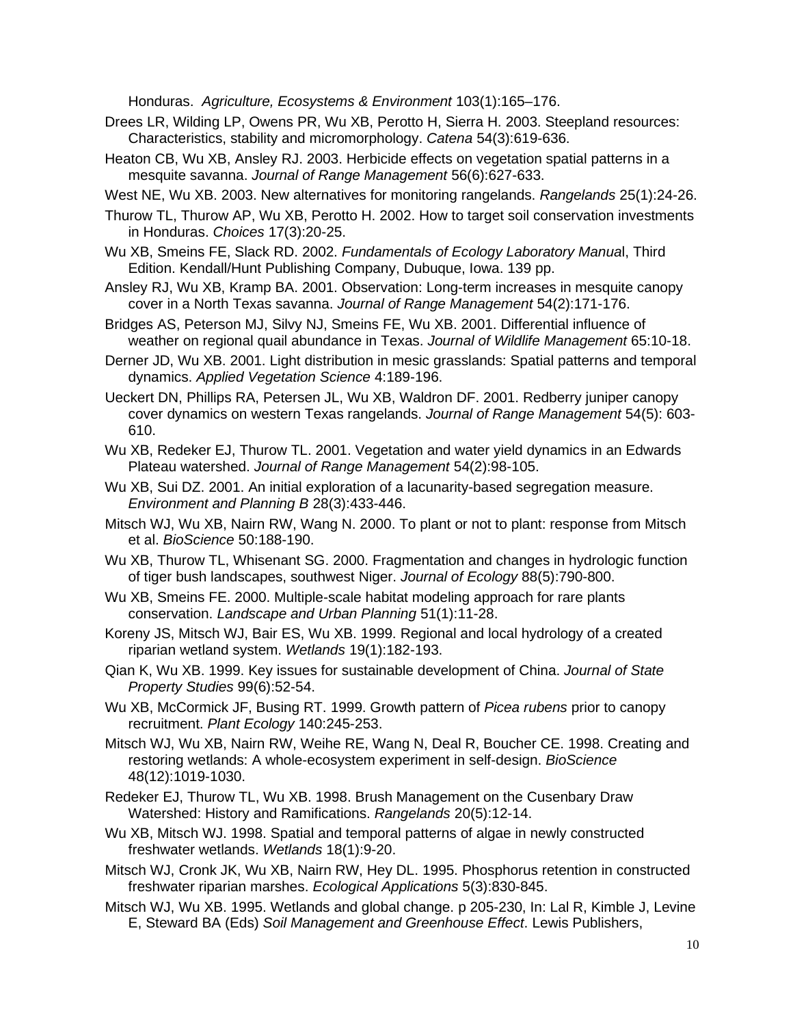Honduras. *Agriculture, Ecosystems & Environment* 103(1):165–176.

- Drees LR, Wilding LP, Owens PR, Wu XB, Perotto H, Sierra H. 2003. Steepland resources: Characteristics, stability and micromorphology. *Catena* 54(3):619-636.
- Heaton CB, Wu XB, Ansley RJ. 2003. Herbicide effects on vegetation spatial patterns in a mesquite savanna. *Journal of Range Management* 56(6):627-633.
- West NE, Wu XB. 2003. New alternatives for monitoring rangelands. *Rangelands* 25(1):24-26.
- Thurow TL, Thurow AP, Wu XB, Perotto H. 2002. How to target soil conservation investments in Honduras. *Choices* 17(3):20-25.
- Wu XB, Smeins FE, Slack RD. 2002. *Fundamentals of Ecology Laboratory Manua*l, Third Edition. Kendall/Hunt Publishing Company, Dubuque, Iowa. 139 pp.
- Ansley RJ, Wu XB, Kramp BA. 2001. Observation: Long-term increases in mesquite canopy cover in a North Texas savanna. *Journal of Range Management* 54(2):171-176.
- Bridges AS, Peterson MJ, Silvy NJ, Smeins FE, Wu XB. 2001. Differential influence of weather on regional quail abundance in Texas. *Journal of Wildlife Management* 65:10-18.
- Derner JD, Wu XB. 2001. Light distribution in mesic grasslands: Spatial patterns and temporal dynamics. *Applied Vegetation Science* 4:189-196.
- Ueckert DN, Phillips RA, Petersen JL, Wu XB, Waldron DF. 2001. Redberry juniper canopy cover dynamics on western Texas rangelands. *Journal of Range Management* 54(5): 603- 610.
- Wu XB, Redeker EJ, Thurow TL. 2001. Vegetation and water yield dynamics in an Edwards Plateau watershed. *Journal of Range Management* 54(2):98-105.
- Wu XB, Sui DZ. 2001. An initial exploration of a lacunarity-based segregation measure. *Environment and Planning B* 28(3):433-446.
- Mitsch WJ, Wu XB, Nairn RW, Wang N. 2000. To plant or not to plant: response from Mitsch et al. *BioScience* 50:188-190.
- Wu XB, Thurow TL, Whisenant SG. 2000. Fragmentation and changes in hydrologic function of tiger bush landscapes, southwest Niger. *Journal of Ecology* 88(5):790-800.
- Wu XB, Smeins FE. 2000. Multiple-scale habitat modeling approach for rare plants conservation. *Landscape and Urban Planning* 51(1):11-28.
- Koreny JS, Mitsch WJ, Bair ES, Wu XB. 1999. Regional and local hydrology of a created riparian wetland system. *Wetlands* 19(1):182-193.
- Qian K, Wu XB. 1999. Key issues for sustainable development of China. *Journal of State Property Studies* 99(6):52-54.
- Wu XB, McCormick JF, Busing RT. 1999. Growth pattern of *Picea rubens* prior to canopy recruitment. *Plant Ecology* 140:245-253.
- Mitsch WJ, Wu XB, Nairn RW, Weihe RE, Wang N, Deal R, Boucher CE. 1998. Creating and restoring wetlands: A whole-ecosystem experiment in self-design. *BioScience* 48(12):1019-1030.
- Redeker EJ, Thurow TL, Wu XB. 1998. Brush Management on the Cusenbary Draw Watershed: History and Ramifications. *Rangelands* 20(5):12-14.
- Wu XB, Mitsch WJ. 1998. Spatial and temporal patterns of algae in newly constructed freshwater wetlands. *Wetlands* 18(1):9-20.
- Mitsch WJ, Cronk JK, Wu XB, Nairn RW, Hey DL. 1995. Phosphorus retention in constructed freshwater riparian marshes. *Ecological Applications* 5(3):830-845.
- Mitsch WJ, Wu XB. 1995. Wetlands and global change. p 205-230, In: Lal R, Kimble J, Levine E, Steward BA (Eds) *Soil Management and Greenhouse Effect*. Lewis Publishers,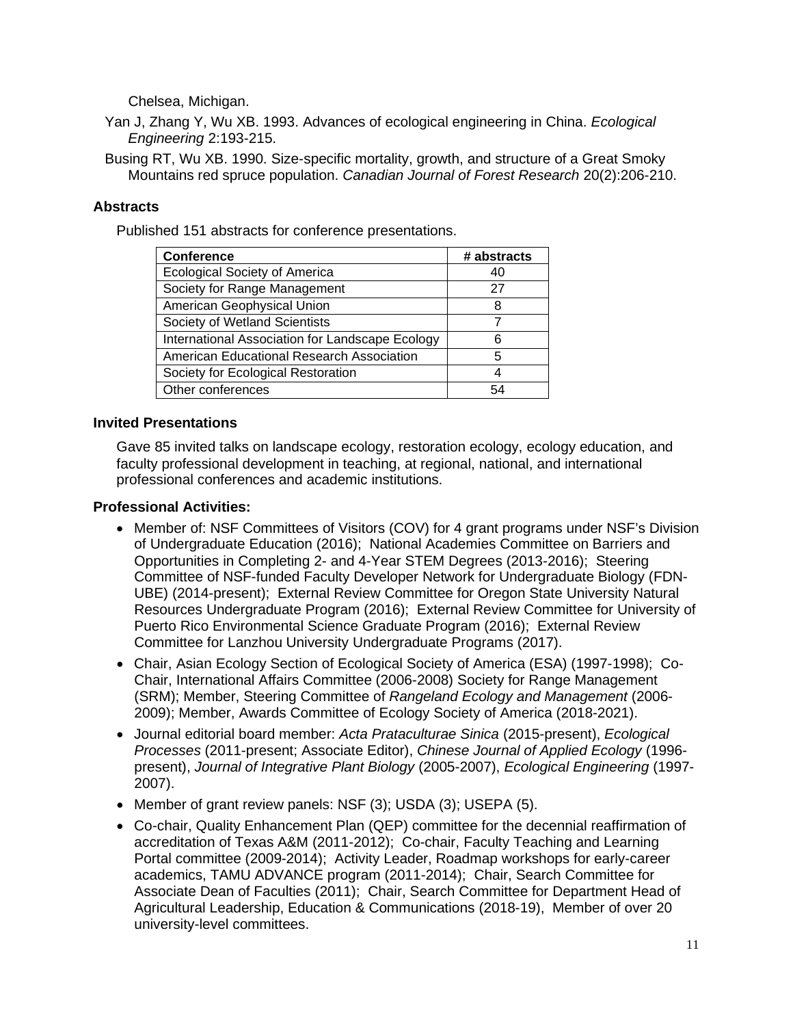Chelsea, Michigan.

Yan J, Zhang Y, Wu XB. 1993. Advances of ecological engineering in China. *Ecological Engineering* 2:193-215.

Busing RT, Wu XB. 1990. Size-specific mortality, growth, and structure of a Great Smoky Mountains red spruce population. *Canadian Journal of Forest Research* 20(2):206-210.

# **Abstracts**

Published 151 abstracts for conference presentations.

| <b>Conference</b>                               | # abstracts |
|-------------------------------------------------|-------------|
| <b>Ecological Society of America</b>            | 40          |
| Society for Range Management                    | 27          |
| American Geophysical Union                      | 8           |
| Society of Wetland Scientists                   |             |
| International Association for Landscape Ecology | 6           |
| American Educational Research Association       | 5           |
| Society for Ecological Restoration              |             |
| Other conferences                               | 54          |

#### **Invited Presentations**

Gave 85 invited talks on landscape ecology, restoration ecology, ecology education, and faculty professional development in teaching, at regional, national, and international professional conferences and academic institutions.

#### **Professional Activities:**

- Member of: NSF Committees of Visitors (COV) for 4 grant programs under NSF's Division of Undergraduate Education (2016); National Academies Committee on Barriers and Opportunities in Completing 2- and 4-Year STEM Degrees (2013-2016); Steering Committee of NSF-funded Faculty Developer Network for Undergraduate Biology (FDN-UBE) (2014-present); External Review Committee for Oregon State University Natural Resources Undergraduate Program (2016); External Review Committee for University of Puerto Rico Environmental Science Graduate Program (2016); External Review Committee for Lanzhou University Undergraduate Programs (2017).
- Chair, Asian Ecology Section of Ecological Society of America (ESA) (1997-1998); Co-Chair, International Affairs Committee (2006-2008) Society for Range Management (SRM); Member, Steering Committee of *Rangeland Ecology and Management* (2006- 2009); Member, Awards Committee of Ecology Society of America (2018-2021).
- Journal editorial board member: *Acta Prataculturae Sinica* (2015-present), *Ecological Processes* (2011-present; Associate Editor), *Chinese Journal of Applied Ecology* (1996 present), *Journal of Integrative Plant Biology* (2005-2007), *Ecological Engineering* (1997- 2007).
- Member of grant review panels: NSF (3); USDA (3); USEPA (5).
- Co-chair, Quality Enhancement Plan (QEP) committee for the decennial reaffirmation of accreditation of Texas A&M (2011-2012); Co-chair, Faculty Teaching and Learning Portal committee (2009-2014); Activity Leader, Roadmap workshops for early-career academics, TAMU ADVANCE program (2011-2014); Chair, Search Committee for Associate Dean of Faculties (2011); Chair, Search Committee for Department Head of Agricultural Leadership, Education & Communications (2018-19), Member of over 20 university-level committees.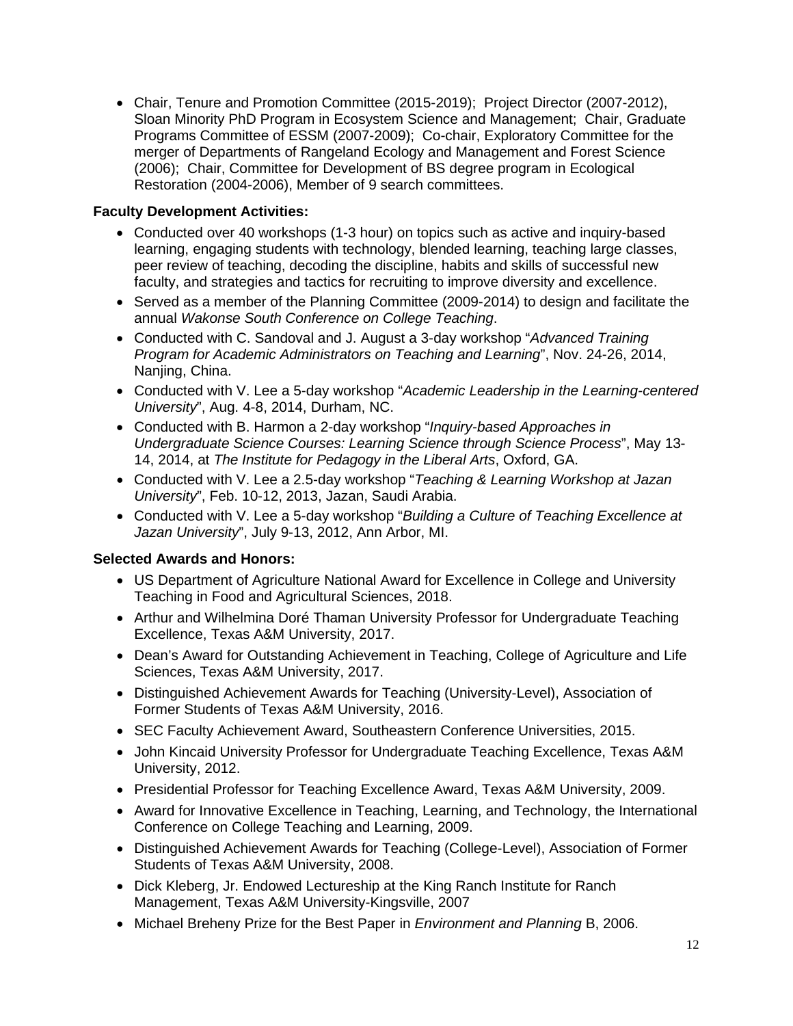• Chair, Tenure and Promotion Committee (2015-2019); Project Director (2007-2012), Sloan Minority PhD Program in Ecosystem Science and Management; Chair, Graduate Programs Committee of ESSM (2007-2009); Co-chair, Exploratory Committee for the merger of Departments of Rangeland Ecology and Management and Forest Science (2006); Chair, Committee for Development of BS degree program in Ecological Restoration (2004-2006), Member of 9 search committees.

# **Faculty Development Activities:**

- Conducted over 40 workshops (1-3 hour) on topics such as active and inquiry-based learning, engaging students with technology, blended learning, teaching large classes, peer review of teaching, decoding the discipline, habits and skills of successful new faculty, and strategies and tactics for recruiting to improve diversity and excellence.
- Served as a member of the Planning Committee (2009-2014) to design and facilitate the annual *Wakonse South Conference on College Teaching*.
- Conducted with C. Sandoval and J. August a 3-day workshop "*Advanced Training Program for Academic Administrators on Teaching and Learning*", Nov. 24-26, 2014, Nanjing, China.
- Conducted with V. Lee a 5-day workshop "*Academic Leadership in the Learning-centered University*", Aug. 4-8, 2014, Durham, NC.
- Conducted with B. Harmon a 2-day workshop "*Inquiry-based Approaches in Undergraduate Science Courses: Learning Science through Science Process*", May 13- 14, 2014, at *The Institute for Pedagogy in the Liberal Arts*, Oxford, GA.
- Conducted with V. Lee a 2.5-day workshop "*Teaching & Learning Workshop at Jazan University*", Feb. 10-12, 2013, Jazan, Saudi Arabia.
- Conducted with V. Lee a 5-day workshop "*Building a Culture of Teaching Excellence at Jazan University*", July 9-13, 2012, Ann Arbor, MI.

### **Selected Awards and Honors:**

- US Department of Agriculture National Award for Excellence in College and University Teaching in Food and Agricultural Sciences, 2018.
- Arthur and Wilhelmina Doré Thaman University Professor for Undergraduate Teaching Excellence, Texas A&M University, 2017.
- Dean's Award for Outstanding Achievement in Teaching, College of Agriculture and Life Sciences, Texas A&M University, 2017.
- Distinguished Achievement Awards for Teaching (University-Level), Association of Former Students of Texas A&M University, 2016.
- SEC Faculty Achievement Award, Southeastern Conference Universities, 2015.
- John Kincaid University Professor for Undergraduate Teaching Excellence, Texas A&M University, 2012.
- Presidential Professor for Teaching Excellence Award, Texas A&M University, 2009.
- Award for Innovative Excellence in Teaching, Learning, and Technology, the International Conference on College Teaching and Learning, 2009.
- Distinguished Achievement Awards for Teaching (College-Level), Association of Former Students of Texas A&M University, 2008.
- Dick Kleberg, Jr. Endowed Lectureship at the King Ranch Institute for Ranch Management, Texas A&M University-Kingsville, 2007
- Michael Breheny Prize for the Best Paper in *Environment and Planning* B, 2006.